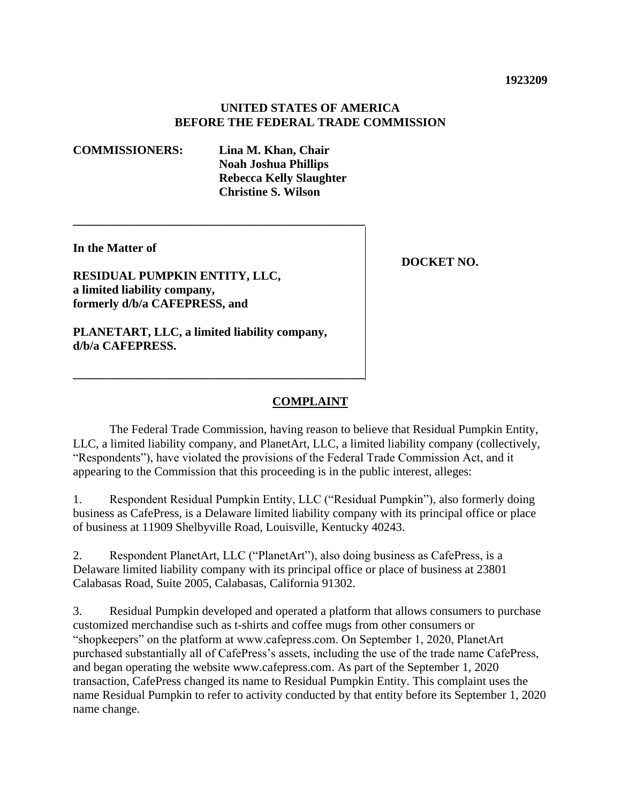### **UNITED STATES OF AMERICA BEFORE THE FEDERAL TRADE COMMISSION**

#### **COMMISSIONERS: Lina M. Khan, Chair**

**Noah Joshua Phillips Rebecca Kelly Slaughter Christine S. Wilson** 

**In the Matter of** 

**RESIDUAL PUMPKIN ENTITY, LLC, a limited liability company, formerly d/b/a CAFEPRESS, and** 

**PLANETART, LLC, a limited liability company, d/b/a CAFEPRESS.** 

**\_\_\_\_\_\_\_\_\_\_\_\_\_\_\_\_\_\_\_\_\_\_\_\_\_\_\_\_\_\_\_\_\_\_\_\_\_\_\_\_\_\_\_\_\_\_\_\_** 

**\_\_\_\_\_\_\_\_\_\_\_\_\_\_\_\_\_\_\_\_\_\_\_\_\_\_\_\_\_\_\_\_\_\_\_\_\_\_\_\_\_\_\_\_\_\_\_\_** 

**DOCKET NO.** 

# **COMPLAINT**

The Federal Trade Commission, having reason to believe that Residual Pumpkin Entity, LLC, a limited liability company, and PlanetArt, LLC, a limited liability company (collectively, "Respondents"), have violated the provisions of the Federal Trade Commission Act, and it appearing to the Commission that this proceeding is in the public interest, alleges:

1. Respondent Residual Pumpkin Entity, LLC ("Residual Pumpkin"), also formerly doing business as CafePress, is a Delaware limited liability company with its principal office or place of business at 11909 Shelbyville Road, Louisville, Kentucky 40243.

2. Respondent PlanetArt, LLC ("PlanetArt"), also doing business as CafePress, is a Delaware limited liability company with its principal office or place of business at 23801 Calabasas Road, Suite 2005, Calabasas, California 91302.

3. Residual Pumpkin developed and operated a platform that allows consumers to purchase customized merchandise such as t-shirts and coffee mugs from other consumers or "shopkeepers" on the platform at [www.cafepress.com.](www.cafepress.com) On September 1, 2020, PlanetArt purchased substantially all of CafePress's assets, including the use of the trade name CafePress, and began operating the website [www.cafepress.com.](www.cafepress.com) As part of the September 1, 2020 transaction, CafePress changed its name to Residual Pumpkin Entity. This complaint uses the name Residual Pumpkin to refer to activity conducted by that entity before its September 1, 2020 name change.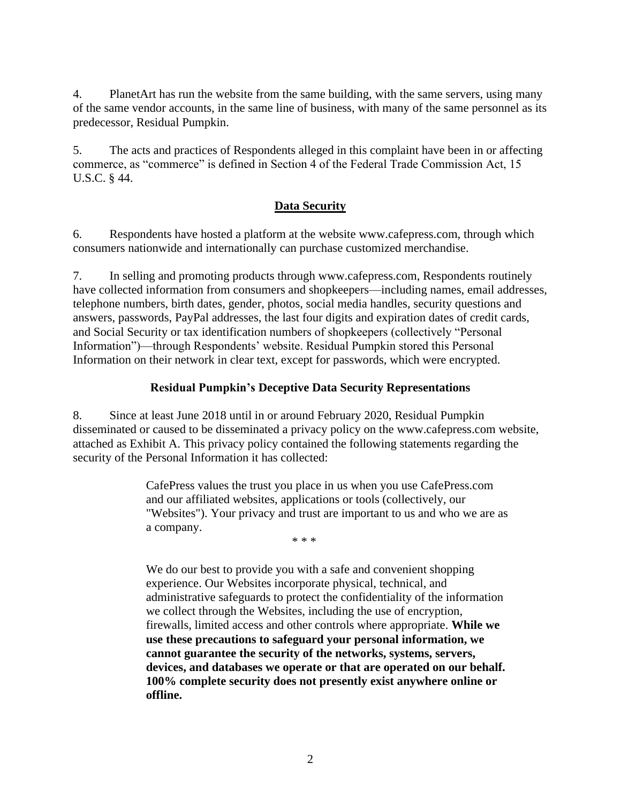4. PlanetArt has run the website from the same building, with the same servers, using many of the same vendor accounts, in the same line of business, with many of the same personnel as its predecessor, Residual Pumpkin.

5. The acts and practices of Respondents alleged in this complaint have been in or affecting commerce, as "commerce" is defined in Section 4 of the Federal Trade Commission Act, 15 U.S.C. § 44.

## **Data Security**

6. Respondents have hosted a platform at the website <www.cafepress.com>, through which consumers nationwide and internationally can purchase customized merchandise.

7. In selling and promoting products through <www.cafepress.com>, Respondents routinely have collected information from consumers and shopkeepers—including names, email addresses, telephone numbers, birth dates, gender, photos, social media handles, security questions and answers, passwords, PayPal addresses, the last four digits and expiration dates of credit cards, and Social Security or tax identification numbers of shopkeepers (collectively "Personal Information")—through Respondents' website. Residual Pumpkin stored this Personal Information on their network in clear text, except for passwords, which were encrypted.

## **Residual Pumpkin's Deceptive Data Security Representations**

<span id="page-1-0"></span>8. Since at least June 2018 until in or around February 2020, Residual Pumpkin disseminated or caused to be disseminated a privacy policy on the <www.cafepress.com>website, attached as Exhibit A. This privacy policy contained the following statements regarding the security of the Personal Information it has collected:

> CafePress values the trust you place in us when you use [CafePress.com](https://CafePress.com)  and our affiliated websites, applications or tools (collectively, our "Websites"). Your privacy and trust are important to us and who we are as a company.

\* \* \*

We do our best to provide you with a safe and convenient shopping experience. Our Websites incorporate physical, technical, and administrative safeguards to protect the confidentiality of the information we collect through the Websites, including the use of encryption, firewalls, limited access and other controls where appropriate. **While we use these precautions to safeguard your personal information, we cannot guarantee the security of the networks, systems, servers, devices, and databases we operate or that are operated on our behalf. 100% complete security does not presently exist anywhere online or offline.**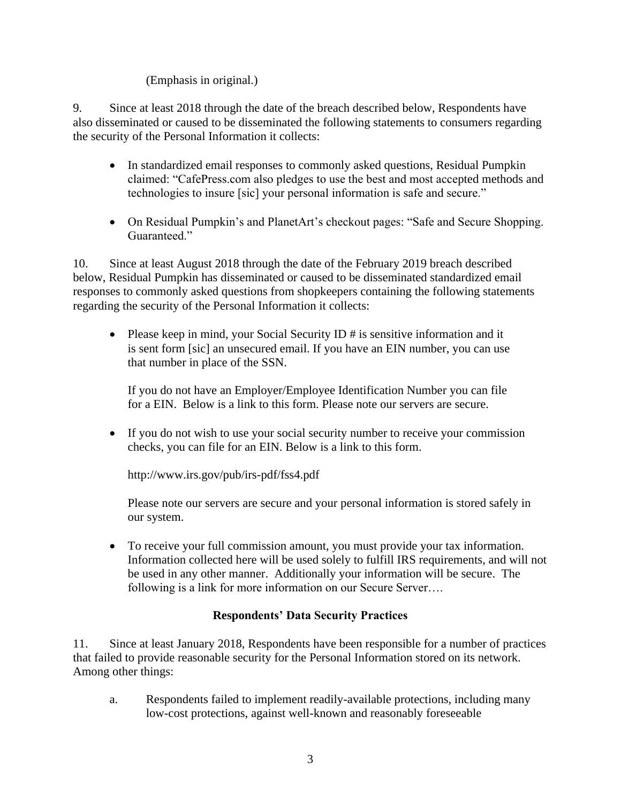# (Emphasis in original.)

9. Since at least 2018 through the date of the breach described below, Respondents have also disseminated or caused to be disseminated the following statements to consumers regarding the security of the Personal Information it collects:

- claimed: "[CafePress.com](https://CafePress.com) also pledges to use the best and most accepted methods and • In standardized email responses to commonly asked questions, Residual Pumpkin technologies to insure [sic] your personal information is safe and secure."
- On Residual Pumpkin's and PlanetArt's checkout pages: "Safe and Secure Shopping. Guaranteed."

10. Since at least August 2018 through the date of the February 2019 breach described below, Residual Pumpkin has disseminated or caused to be disseminated standardized email responses to commonly asked questions from shopkeepers containing the following statements regarding the security of the Personal Information it collects:

• Please keep in mind, your Social Security ID # is sensitive information and it is sent form [sic] an unsecured email. If you have an EIN number, you can use that number in place of the SSN.

If you do not have an Employer/Employee Identification Number you can file for a EIN. Below is a link to this form. Please note our servers are secure.

• If you do not wish to use your social security number to receive your commission checks, you can file for an EIN. Below is a link to this form.

<http://www.irs.gov/pub/irs-pdf/fss4.pdf>

Please note our servers are secure and your personal information is stored safely in our system.

• To receive your full commission amount, you must provide your tax information. Information collected here will be used solely to fulfill IRS requirements, and will not be used in any other manner. Additionally your information will be secure. The following is a link for more information on our Secure Server....

# **Respondents' Data Security Practices**

<span id="page-2-0"></span>11. Since at least January 2018, Respondents have been responsible for a number of practices that failed to provide reasonable security for the Personal Information stored on its network. Among other things:

a. Respondents failed to implement readily-available protections, including many low-cost protections, against well-known and reasonably foreseeable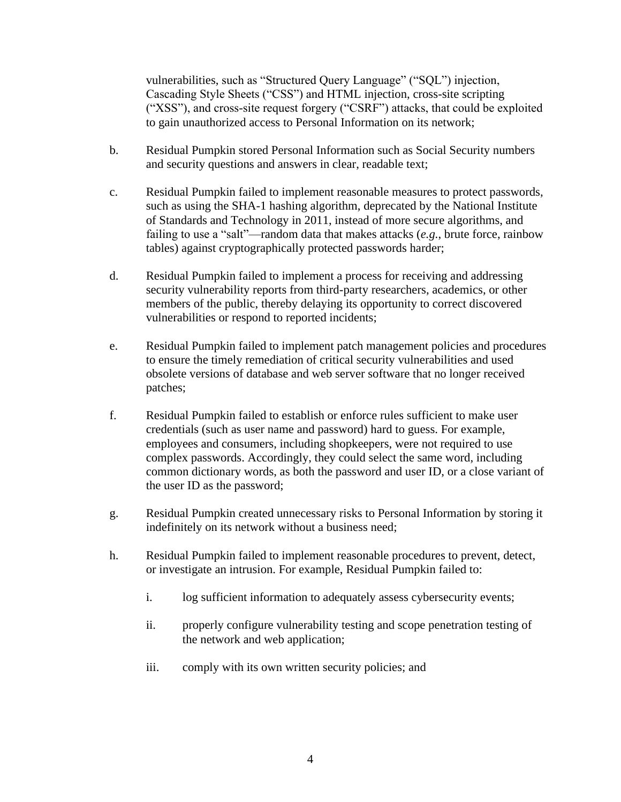vulnerabilities, such as "Structured Query Language" ("SQL") injection, Cascading Style Sheets ("CSS") and HTML injection, cross-site scripting ("XSS"), and cross-site request forgery ("CSRF") attacks, that could be exploited to gain unauthorized access to Personal Information on its network;

- b. Residual Pumpkin stored Personal Information such as Social Security numbers and security questions and answers in clear, readable text;
- c. Residual Pumpkin failed to implement reasonable measures to protect passwords, such as using the SHA-1 hashing algorithm, deprecated by the National Institute of Standards and Technology in 2011, instead of more secure algorithms, and failing to use a "salt"—random data that makes attacks (*e.g.*, brute force, rainbow tables) against cryptographically protected passwords harder;
- d. Residual Pumpkin failed to implement a process for receiving and addressing security vulnerability reports from third-party researchers, academics, or other members of the public, thereby delaying its opportunity to correct discovered vulnerabilities or respond to reported incidents;
- e. Residual Pumpkin failed to implement patch management policies and procedures to ensure the timely remediation of critical security vulnerabilities and used obsolete versions of database and web server software that no longer received patches;
- f. Residual Pumpkin failed to establish or enforce rules sufficient to make user credentials (such as user name and password) hard to guess. For example, employees and consumers, including shopkeepers, were not required to use complex passwords. Accordingly, they could select the same word, including common dictionary words, as both the password and user ID, or a close variant of the user ID as the password;
- g. Residual Pumpkin created unnecessary risks to Personal Information by storing it indefinitely on its network without a business need;
- h. Residual Pumpkin failed to implement reasonable procedures to prevent, detect, or investigate an intrusion. For example, Residual Pumpkin failed to:
	- i. log sufficient information to adequately assess cybersecurity events;
	- ii. properly configure vulnerability testing and scope penetration testing of the network and web application;
	- iii. comply with its own written security policies; and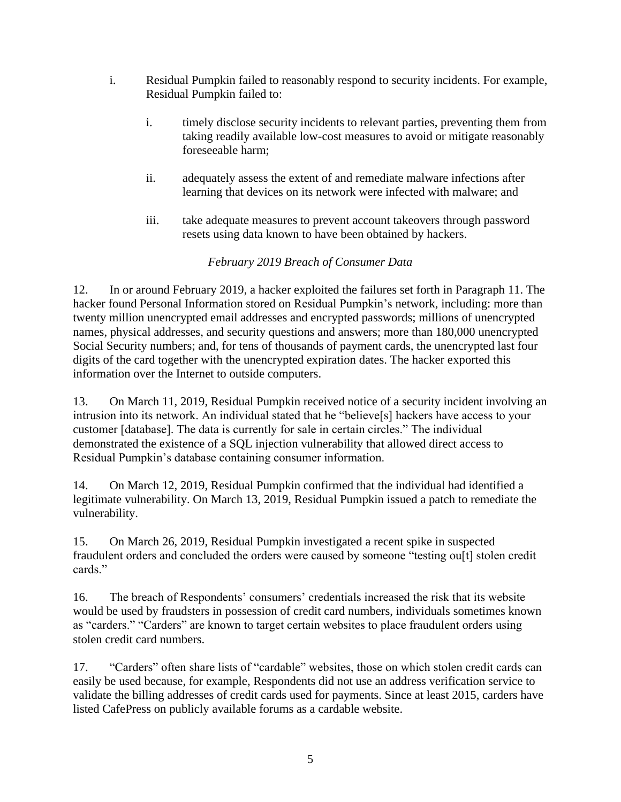- i. Residual Pumpkin failed to reasonably respond to security incidents. For example, Residual Pumpkin failed to:
	- i. timely disclose security incidents to relevant parties, preventing them from taking readily available low-cost measures to avoid or mitigate reasonably foreseeable harm;
	- ii. adequately assess the extent of and remediate malware infections after learning that devices on its network were infected with malware; and
	- iii. take adequate measures to prevent account takeovers through password resets using data known to have been obtained by hackers.

# *February 2019 Breach of Consumer Data*

 twenty million unencrypted email addresses and encrypted passwords; millions of unencrypted 12. In or around February 2019, a hacker exploited the failures set forth in Paragraph 11. The hacker found Personal Information stored on Residual Pumpkin's network, including: more than names, physical addresses, and security questions and answers; more than 180,000 unencrypted Social Security numbers; and, for tens of thousands of payment cards, the unencrypted last four digits of the card together with the unencrypted expiration dates. The hacker exported this information over the Internet to outside computers.

13. On March 11, 2019, Residual Pumpkin received notice of a security incident involving an intrusion into its network. An individual stated that he "believe[s] hackers have access to your customer [database]. The data is currently for sale in certain circles." The individual demonstrated the existence of a SQL injection vulnerability that allowed direct access to Residual Pumpkin's database containing consumer information.

14. On March 12, 2019, Residual Pumpkin confirmed that the individual had identified a legitimate vulnerability. On March 13, 2019, Residual Pumpkin issued a patch to remediate the vulnerability.

15. On March 26, 2019, Residual Pumpkin investigated a recent spike in suspected fraudulent orders and concluded the orders were caused by someone "testing ou[t] stolen credit cards."

16. The breach of Respondents' consumers' credentials increased the risk that its website would be used by fraudsters in possession of credit card numbers, individuals sometimes known as "carders." "Carders" are known to target certain websites to place fraudulent orders using stolen credit card numbers.

17. "Carders" often share lists of "cardable" websites, those on which stolen credit cards can easily be used because, for example, Respondents did not use an address verification service to validate the billing addresses of credit cards used for payments. Since at least 2015, carders have listed CafePress on publicly available forums as a cardable website.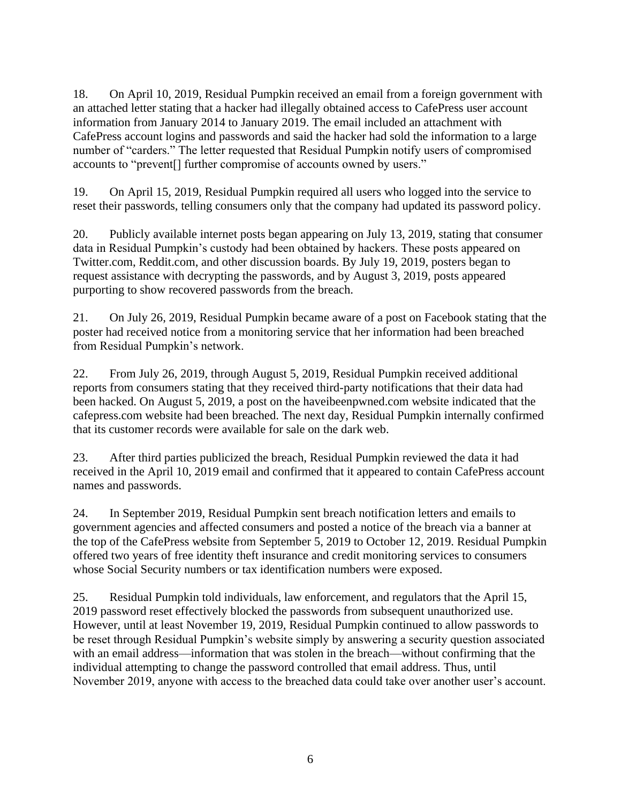18. On April 10, 2019, Residual Pumpkin received an email from a foreign government with an attached letter stating that a hacker had illegally obtained access to CafePress user account information from January 2014 to January 2019. The email included an attachment with CafePress account logins and passwords and said the hacker had sold the information to a large number of "carders." The letter requested that Residual Pumpkin notify users of compromised accounts to "prevent[] further compromise of accounts owned by users."

<span id="page-5-0"></span>19. On April 15, 2019, Residual Pumpkin required all users who logged into the service to reset their passwords, telling consumers only that the company had updated its password policy.

20. Publicly available internet posts began appearing on July 13, 2019, stating that consumer data in Residual Pumpkin's custody had been obtained by hackers. These posts appeared on [Twitter.com,](https://Twitter.com) [Reddit.com,](https://Reddit.com) and other discussion boards. By July 19, 2019, posters began to request assistance with decrypting the passwords, and by August 3, 2019, posts appeared purporting to show recovered passwords from the breach.

21. On July 26, 2019, Residual Pumpkin became aware of a post on Facebook stating that the poster had received notice from a monitoring service that her information had been breached from Residual Pumpkin's network.

22. From July 26, 2019, through August 5, 2019, Residual Pumpkin received additional reports from consumers stating that they received third-party notifications that their data had been hacked. On August 5, 2019, a post on the [haveibeenpwned.com](https://haveibeenpwned.com) website indicated that the [cafepress.com](https://cafepress.com) website had been breached. The next day, Residual Pumpkin internally confirmed that its customer records were available for sale on the dark web.

23. After third parties publicized the breach, Residual Pumpkin reviewed the data it had received in the April 10, 2019 email and confirmed that it appeared to contain CafePress account names and passwords.

<span id="page-5-1"></span>24. In September 2019, Residual Pumpkin sent breach notification letters and emails to government agencies and affected consumers and posted a notice of the breach via a banner at the top of the CafePress website from September 5, 2019 to October 12, 2019. Residual Pumpkin offered two years of free identity theft insurance and credit monitoring services to consumers whose Social Security numbers or tax identification numbers were exposed.

<span id="page-5-2"></span>25. Residual Pumpkin told individuals, law enforcement, and regulators that the April 15, 2019 password reset effectively blocked the passwords from subsequent unauthorized use. However, until at least November 19, 2019, Residual Pumpkin continued to allow passwords to be reset through Residual Pumpkin's website simply by answering a security question associated with an email address—information that was stolen in the breach—without confirming that the individual attempting to change the password controlled that email address. Thus, until November 2019, anyone with access to the breached data could take over another user's account.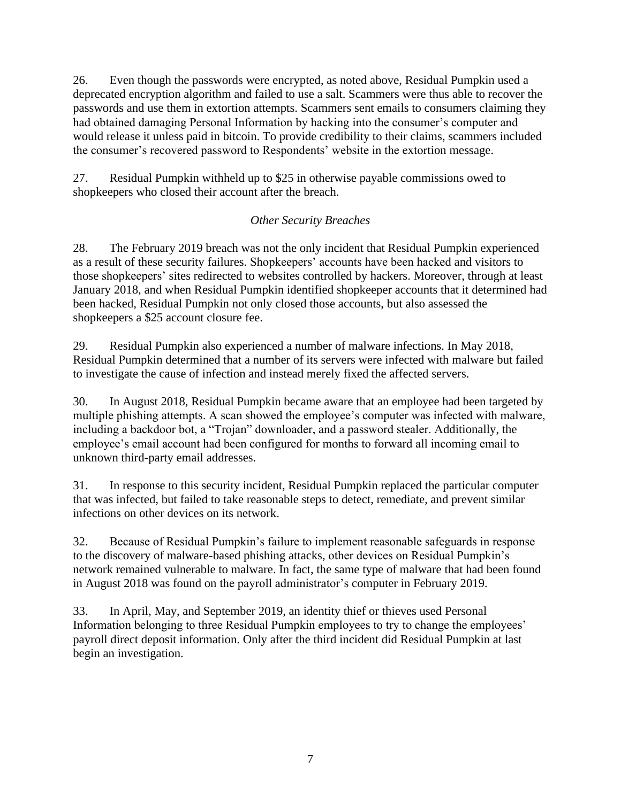26. Even though the passwords were encrypted, as noted above, Residual Pumpkin used a deprecated encryption algorithm and failed to use a salt. Scammers were thus able to recover the passwords and use them in extortion attempts. Scammers sent emails to consumers claiming they had obtained damaging Personal Information by hacking into the consumer's computer and would release it unless paid in bitcoin. To provide credibility to their claims, scammers included the consumer's recovered password to Respondents' website in the extortion message.

<span id="page-6-0"></span>27. Residual Pumpkin withheld up to \$25 in otherwise payable commissions owed to shopkeepers who closed their account after the breach.

# *Other Security Breaches*

<span id="page-6-1"></span>28. The February 2019 breach was not the only incident that Residual Pumpkin experienced as a result of these security failures. Shopkeepers' accounts have been hacked and visitors to those shopkeepers' sites redirected to websites controlled by hackers. Moreover, through at least January 2018, and when Residual Pumpkin identified shopkeeper accounts that it determined had been hacked, Residual Pumpkin not only closed those accounts, but also assessed the shopkeepers a \$25 account closure fee.

29. Residual Pumpkin also experienced a number of malware infections. In May 2018, Residual Pumpkin determined that a number of its servers were infected with malware but failed to investigate the cause of infection and instead merely fixed the affected servers.

30. In August 2018, Residual Pumpkin became aware that an employee had been targeted by multiple phishing attempts. A scan showed the employee's computer was infected with malware, including a backdoor bot, a "Trojan" downloader, and a password stealer. Additionally, the employee's email account had been configured for months to forward all incoming email to unknown third-party email addresses.

31. In response to this security incident, Residual Pumpkin replaced the particular computer that was infected, but failed to take reasonable steps to detect, remediate, and prevent similar infections on other devices on its network.

32. Because of Residual Pumpkin's failure to implement reasonable safeguards in response to the discovery of malware-based phishing attacks, other devices on Residual Pumpkin's network remained vulnerable to malware. In fact, the same type of malware that had been found in August 2018 was found on the payroll administrator's computer in February 2019.

33. In April, May, and September 2019, an identity thief or thieves used Personal Information belonging to three Residual Pumpkin employees to try to change the employees' payroll direct deposit information. Only after the third incident did Residual Pumpkin at last begin an investigation.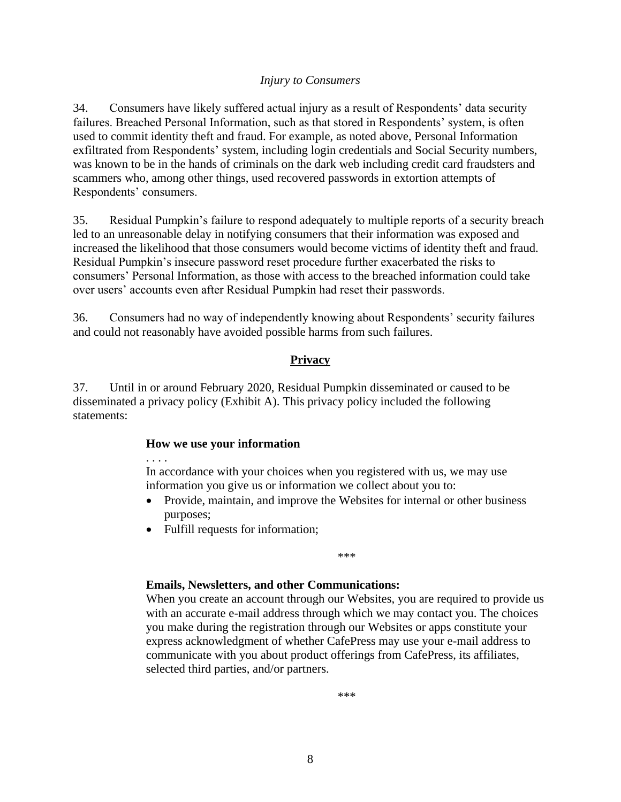### *Injury to Consumers*

34. Consumers have likely suffered actual injury as a result of Respondents' data security failures. Breached Personal Information, such as that stored in Respondents' system, is often used to commit identity theft and fraud. For example, as noted above, Personal Information exfiltrated from Respondents' system, including login credentials and Social Security numbers, was known to be in the hands of criminals on the dark web including credit card fraudsters and scammers who, among other things, used recovered passwords in extortion attempts of Respondents' consumers.

35. Residual Pumpkin's failure to respond adequately to multiple reports of a security breach led to an unreasonable delay in notifying consumers that their information was exposed and increased the likelihood that those consumers would become victims of identity theft and fraud. Residual Pumpkin's insecure password reset procedure further exacerbated the risks to consumers' Personal Information, as those with access to the breached information could take over users' accounts even after Residual Pumpkin had reset their passwords.

36. Consumers had no way of independently knowing about Respondents' security failures and could not reasonably have avoided possible harms from such failures.

## **Privacy**

<span id="page-7-0"></span>37. Until in or around February 2020, Residual Pumpkin disseminated or caused to be disseminated a privacy policy (Exhibit A). This privacy policy included the following statements:

### **How we use your information**

. . . .

In accordance with your choices when you registered with us, we may use information you give us or information we collect about you to:

- Provide, maintain, and improve the Websites for internal or other business purposes;
- Fulfill requests for information;

\*\*\*

## **Emails, Newsletters, and other Communications:**

When you create an account through our Websites, you are required to provide us with an accurate e-mail address through which we may contact you. The choices you make during the registration through our Websites or apps constitute your express acknowledgment of whether CafePress may use your e-mail address to communicate with you about product offerings from CafePress, its affiliates, selected third parties, and/or partners.

\*\*\*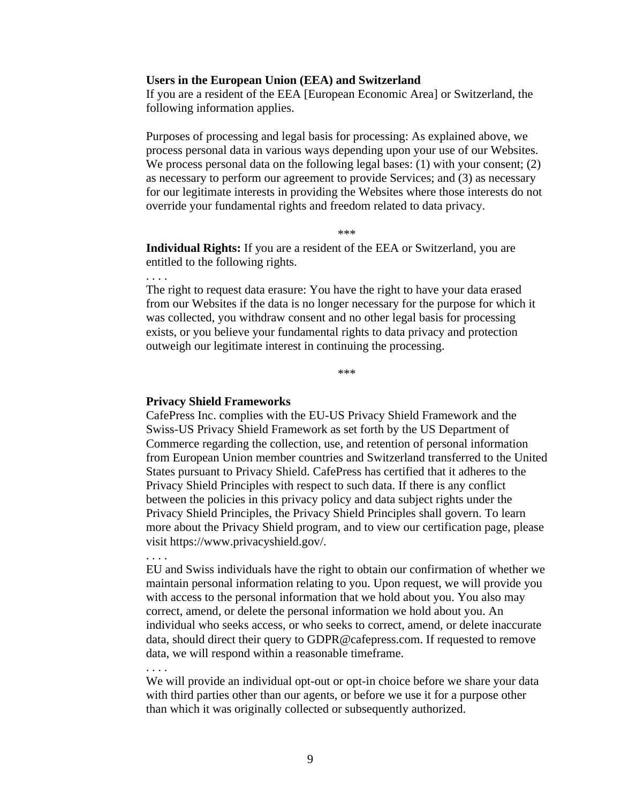#### **Users in the European Union (EEA) and Switzerland**

If you are a resident of the EEA [European Economic Area] or Switzerland, the following information applies.

 We process personal data on the following legal bases: (1) with your consent; (2) Purposes of processing and legal basis for processing: As explained above, we process personal data in various ways depending upon your use of our Websites. as necessary to perform our agreement to provide Services; and (3) as necessary for our legitimate interests in providing the Websites where those interests do not override your fundamental rights and freedom related to data privacy.

\*\*\*

**Individual Rights:** If you are a resident of the EEA or Switzerland, you are entitled to the following rights.

The right to request data erasure: You have the right to have your data erased from our Websites if the data is no longer necessary for the purpose for which it was collected, you withdraw consent and no other legal basis for processing exists, or you believe your fundamental rights to data privacy and protection outweigh our legitimate interest in continuing the processing.

\*\*\*

#### **Privacy Shield Frameworks**

. . . .

. . . .

. . . .

CafePress Inc. complies with the EU-US Privacy Shield Framework and the Swiss-US Privacy Shield Framework as set forth by the US Department of Commerce regarding the collection, use, and retention of personal information from European Union member countries and Switzerland transferred to the United States pursuant to Privacy Shield. CafePress has certified that it adheres to the Privacy Shield Principles with respect to such data. If there is any conflict between the policies in this privacy policy and data subject rights under the Privacy Shield Principles, the Privacy Shield Principles shall govern. To learn more about the Privacy Shield program, and to view our certification page, please visit [https://www.privacyshield.gov/](https://www.privacyshield.gov).

EU and Swiss individuals have the right to obtain our confirmation of whether we maintain personal information relating to you. Upon request, we will provide you with access to the personal information that we hold about you. You also may correct, amend, or delete the personal information we hold about you. An individual who seeks access, or who seeks to correct, amend, or delete inaccurate data, should direct their query to [GDPR@cafepress.com](mailto:GDPR@cafepress.com). If requested to remove data, we will respond within a reasonable timeframe.

We will provide an individual opt-out or opt-in choice before we share your data with third parties other than our agents, or before we use it for a purpose other than which it was originally collected or subsequently authorized.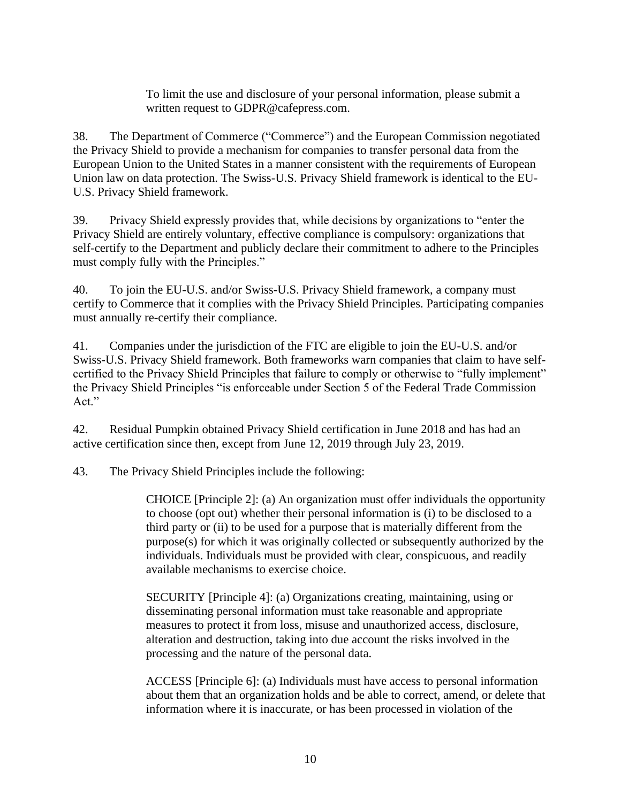To limit the use and disclosure of your personal information, please submit a written request to [GDPR@cafepress.com](mailto:GDPR@cafepress.com).

38. The Department of Commerce ("Commerce") and the European Commission negotiated the Privacy Shield to provide a mechanism for companies to transfer personal data from the European Union to the United States in a manner consistent with the requirements of European Union law on data protection. The Swiss-U.S. Privacy Shield framework is identical to the EU-U.S. Privacy Shield framework.

39. Privacy Shield expressly provides that, while decisions by organizations to "enter the Privacy Shield are entirely voluntary, effective compliance is compulsory: organizations that self-certify to the Department and publicly declare their commitment to adhere to the Principles must comply fully with the Principles."

40. To join the EU-U.S. and/or Swiss-U.S. Privacy Shield framework, a company must certify to Commerce that it complies with the Privacy Shield Principles. Participating companies must annually re-certify their compliance.

41. Companies under the jurisdiction of the FTC are eligible to join the EU-U.S. and/or Swiss-U.S. Privacy Shield framework. Both frameworks warn companies that claim to have selfcertified to the Privacy Shield Principles that failure to comply or otherwise to "fully implement" the Privacy Shield Principles "is enforceable under Section 5 of the Federal Trade Commission Act."

42. Residual Pumpkin obtained Privacy Shield certification in June 2018 and has had an active certification since then, except from June 12, 2019 through July 23, 2019.

43. The Privacy Shield Principles include the following:

CHOICE [Principle 2]: (a) An organization must offer individuals the opportunity to choose (opt out) whether their personal information is (i) to be disclosed to a third party or (ii) to be used for a purpose that is materially different from the purpose(s) for which it was originally collected or subsequently authorized by the individuals. Individuals must be provided with clear, conspicuous, and readily available mechanisms to exercise choice.

SECURITY [Principle 4]: (a) Organizations creating, maintaining, using or disseminating personal information must take reasonable and appropriate measures to protect it from loss, misuse and unauthorized access, disclosure, alteration and destruction, taking into due account the risks involved in the processing and the nature of the personal data.

ACCESS [Principle 6]: (a) Individuals must have access to personal information about them that an organization holds and be able to correct, amend, or delete that information where it is inaccurate, or has been processed in violation of the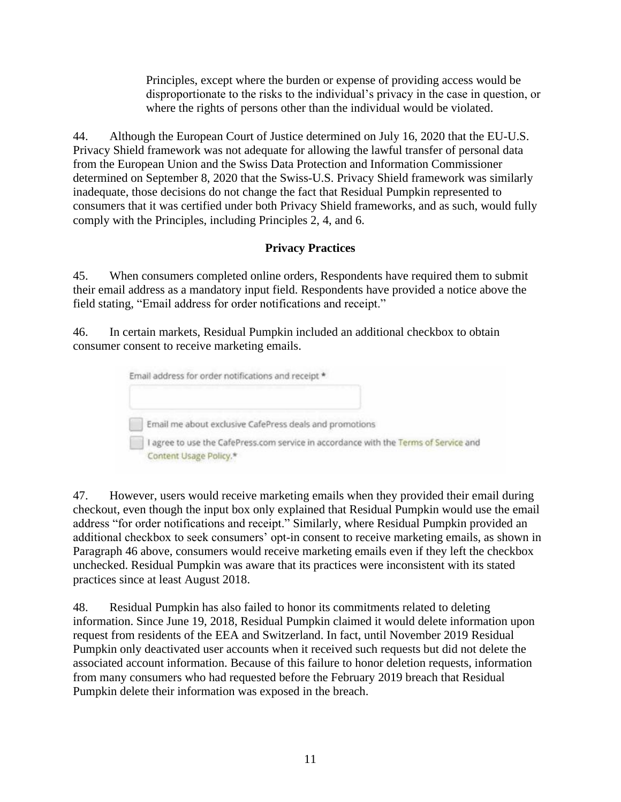Principles, except where the burden or expense of providing access would be disproportionate to the risks to the individual's privacy in the case in question, or where the rights of persons other than the individual would be violated.

44. Although the European Court of Justice determined on July 16, 2020 that the EU-U.S. Privacy Shield framework was not adequate for allowing the lawful transfer of personal data from the European Union and the Swiss Data Protection and Information Commissioner determined on September 8, 2020 that the Swiss-U.S. Privacy Shield framework was similarly inadequate, those decisions do not change the fact that Residual Pumpkin represented to consumers that it was certified under both Privacy Shield frameworks, and as such, would fully comply with the Principles, including Principles 2, 4, and 6.

# **Privacy Practices**

<span id="page-10-0"></span>45. When consumers completed online orders, Respondents have required them to submit their email address as a mandatory input field. Respondents have provided a notice above the field stating, "Email address for order notifications and receipt."

<span id="page-10-1"></span>46. In certain markets, Residual Pumpkin included an additional checkbox to obtain consumer consent to receive marketing emails.

| Email address for order notifications and receipt *                                                          |
|--------------------------------------------------------------------------------------------------------------|
| Email me about exclusive CafePress deals and promotions                                                      |
| agree to use the CafePress.com service in accordance with the Terms of Service and<br>Content Usage Policy.* |

<span id="page-10-2"></span>47. However, users would receive marketing emails when they provided their email during checkout, even though the input box only explained that Residual Pumpkin would use the email address "for order notifications and receipt." Similarly, where Residual Pumpkin provided an additional checkbox to seek consumers' opt-in consent to receive marketing emails, as shown in Paragraph 46 above, consumers would receive marketing emails even if they left the checkbox unchecked. Residual Pumpkin was aware that its practices were inconsistent with its stated practices since at least August 2018.

<span id="page-10-3"></span>48. Residual Pumpkin has also failed to honor its commitments related to deleting information. Since June 19, 2018, Residual Pumpkin claimed it would delete information upon request from residents of the EEA and Switzerland. In fact, until November 2019 Residual Pumpkin only deactivated user accounts when it received such requests but did not delete the associated account information. Because of this failure to honor deletion requests, information from many consumers who had requested before the February 2019 breach that Residual Pumpkin delete their information was exposed in the breach.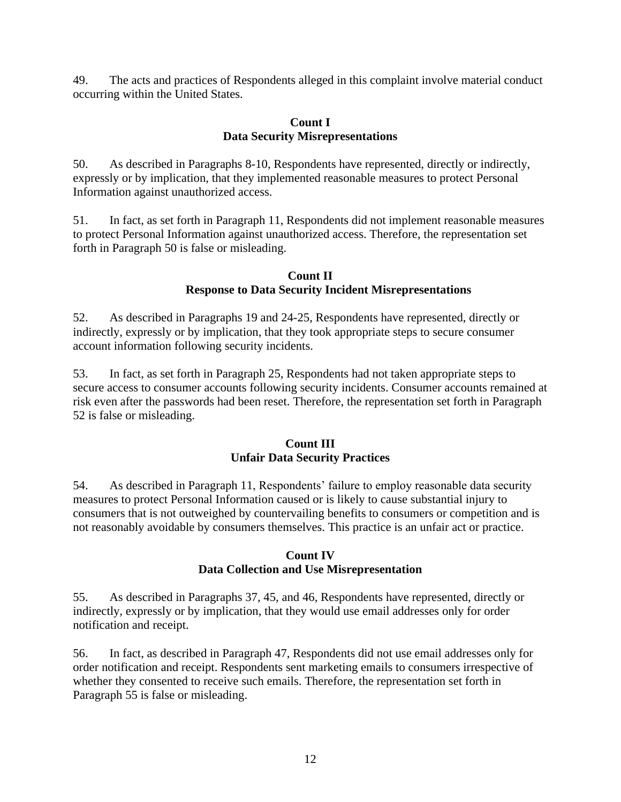<span id="page-11-3"></span>49. The acts and practices of Respondents alleged in this complaint involve material conduct occurring within the United States.

### **Count I Data Security Misrepresentations**

<span id="page-11-0"></span>50. As described in Paragraphs [8-](#page-1-0)10, Respondents have represented, directly or indirectly, expressly or by implication, that they implemented reasonable measures to protect Personal Information against unauthorized access.

51. In fact, as set forth in Paragraph [11,](#page-2-0) Respondents did not implement reasonable measures to protect Personal Information against unauthorized access. Therefore, the representation set forth in Paragraph [50](#page-11-0) is false or misleading.

### **Count II Response to Data Security Incident Misrepresentations**

<span id="page-11-1"></span>52. As described in Paragraphs [19](#page-5-0) and [24-](#page-5-1)[25,](#page-5-2) Respondents have represented, directly or indirectly, expressly or by implication, that they took appropriate steps to secure consumer account information following security incidents.

53. In fact, as set forth in Paragraph [25,](#page-5-2) Respondents had not taken appropriate steps to secure access to consumer accounts following security incidents. Consumer accounts remained at risk even after the passwords had been reset. Therefore, the representation set forth in Paragraph [52](#page-11-1) is false or misleading.

## **Count III Unfair Data Security Practices**

54. As described in Paragraph [11,](#page-2-0) Respondents' failure to employ reasonable data security measures to protect Personal Information caused or is likely to cause substantial injury to consumers that is not outweighed by countervailing benefits to consumers or competition and is not reasonably avoidable by consumers themselves. This practice is an unfair act or practice.

### **Count IV Data Collection and Use Misrepresentation**

<span id="page-11-2"></span>55. As described in Paragraphs [37,](#page-7-0) [45,](#page-10-0) and [46,](#page-10-1) Respondents have represented, directly or indirectly, expressly or by implication, that they would use email addresses only for order notification and receipt.

56. In fact, as described in Paragraph [47,](#page-10-2) Respondents did not use email addresses only for order notification and receipt. Respondents sent marketing emails to consumers irrespective of whether they consented to receive such emails. Therefore, the representation set forth in Paragraph [55](#page-11-2) is false or misleading.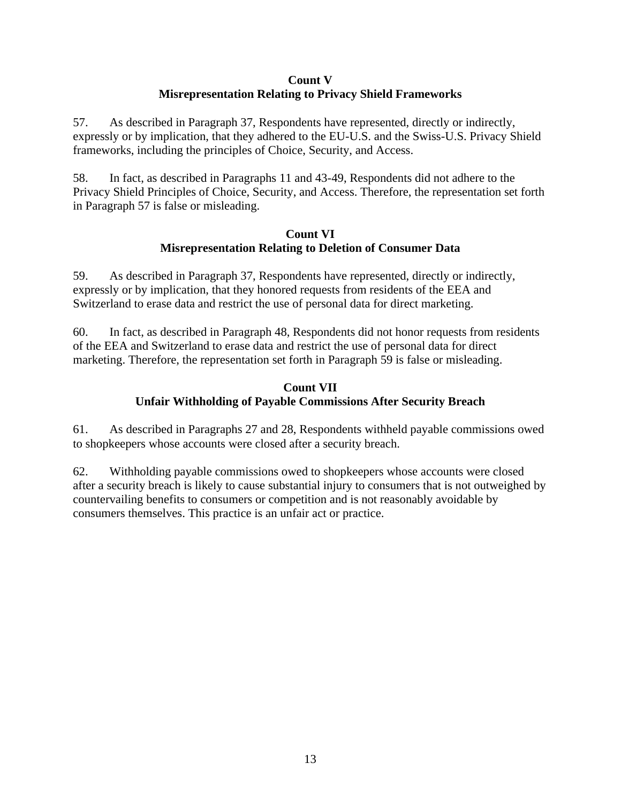### **Count V Misrepresentation Relating to Privacy Shield Frameworks**

<span id="page-12-0"></span>57. As described in Paragraph [37,](#page-7-0) Respondents have represented, directly or indirectly, expressly or by implication, that they adhered to the EU-U.S. and the Swiss-U.S. Privacy Shield frameworks, including the principles of Choice, Security, and Access.

58. In fact, as described in Paragraphs [11](#page-2-0) and 43[-49,](#page-11-3) Respondents did not adhere to the Privacy Shield Principles of Choice, Security, and Access. Therefore, the representation set forth in Paragraph [57](#page-12-0) is false or misleading.

### **Count VI Misrepresentation Relating to Deletion of Consumer Data**

<span id="page-12-1"></span>59. As described in Paragraph [37,](#page-7-0) Respondents have represented, directly or indirectly, expressly or by implication, that they honored requests from residents of the EEA and Switzerland to erase data and restrict the use of personal data for direct marketing.

60. In fact, as described in Paragraph [48,](#page-10-3) Respondents did not honor requests from residents of the EEA and Switzerland to erase data and restrict the use of personal data for direct marketing. Therefore, the representation set forth in Paragraph [59](#page-12-1) is false or misleading.

## **Count VII Unfair Withholding of Payable Commissions After Security Breach**

61. As described in Paragraphs [27](#page-6-0) and [28,](#page-6-1) Respondents withheld payable commissions owed to shopkeepers whose accounts were closed after a security breach.

62. Withholding payable commissions owed to shopkeepers whose accounts were closed after a security breach is likely to cause substantial injury to consumers that is not outweighed by countervailing benefits to consumers or competition and is not reasonably avoidable by consumers themselves. This practice is an unfair act or practice.